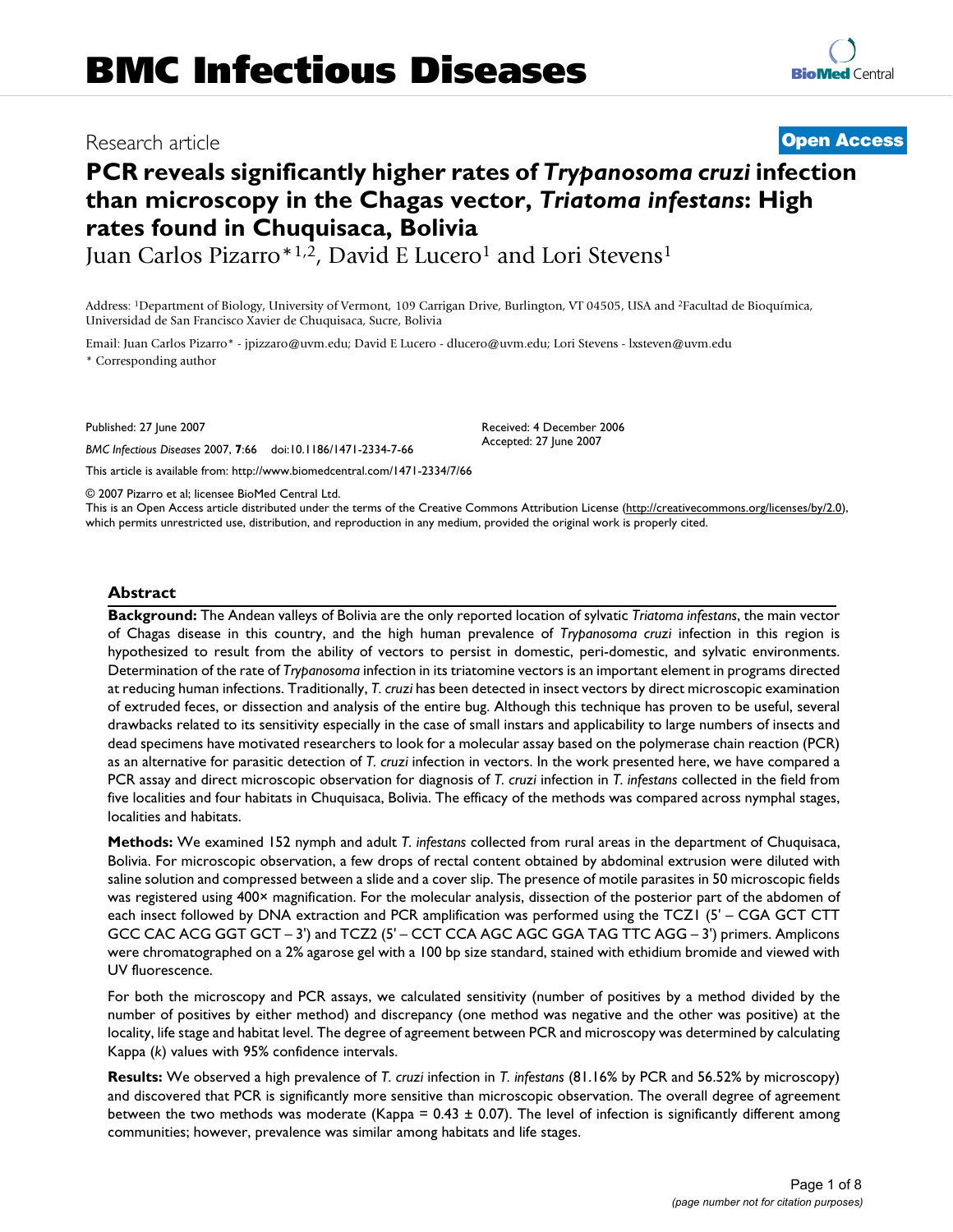# Research article **[Open Access](http://www.biomedcentral.com/info/about/charter/)**

# **PCR reveals significantly higher rates of** *Trypanosoma cruzi* **infection than microscopy in the Chagas vector,** *Triatoma infestans***: High rates found in Chuquisaca, Bolivia**

Juan Carlos Pizarro\*<sup>1,2</sup>, David E Lucero<sup>1</sup> and Lori Stevens<sup>1</sup>

Address: 1Department of Biology, University of Vermont, 109 Carrigan Drive, Burlington, VT 04505, USA and 2Facultad de Bioquímica, Universidad de San Francisco Xavier de Chuquisaca, Sucre, Bolivia

Email: Juan Carlos Pizarro\* - jpizzaro@uvm.edu; David E Lucero - dlucero@uvm.edu; Lori Stevens - lxsteven@uvm.edu \* Corresponding author

Published: 27 June 2007

*BMC Infectious Diseases* 2007, **7**:66 doi:10.1186/1471-2334-7-66

[This article is available from: http://www.biomedcentral.com/1471-2334/7/66](http://www.biomedcentral.com/1471-2334/7/66)

© 2007 Pizarro et al; licensee BioMed Central Ltd.

This is an Open Access article distributed under the terms of the Creative Commons Attribution License [\(http://creativecommons.org/licenses/by/2.0\)](http://creativecommons.org/licenses/by/2.0), which permits unrestricted use, distribution, and reproduction in any medium, provided the original work is properly cited.

Received: 4 December 2006 Accepted: 27 June 2007

#### **Abstract**

**Background:** The Andean valleys of Bolivia are the only reported location of sylvatic *Triatoma infestans*, the main vector of Chagas disease in this country, and the high human prevalence of *Trypanosoma cruzi* infection in this region is hypothesized to result from the ability of vectors to persist in domestic, peri-domestic, and sylvatic environments. Determination of the rate of *Trypanosoma* infection in its triatomine vectors is an important element in programs directed at reducing human infections. Traditionally, *T. cruzi* has been detected in insect vectors by direct microscopic examination of extruded feces, or dissection and analysis of the entire bug. Although this technique has proven to be useful, several drawbacks related to its sensitivity especially in the case of small instars and applicability to large numbers of insects and dead specimens have motivated researchers to look for a molecular assay based on the polymerase chain reaction (PCR) as an alternative for parasitic detection of *T. cruzi* infection in vectors. In the work presented here, we have compared a PCR assay and direct microscopic observation for diagnosis of *T. cruzi* infection in *T. infestans* collected in the field from five localities and four habitats in Chuquisaca, Bolivia. The efficacy of the methods was compared across nymphal stages, localities and habitats.

**Methods:** We examined 152 nymph and adult *T. infestans* collected from rural areas in the department of Chuquisaca, Bolivia. For microscopic observation, a few drops of rectal content obtained by abdominal extrusion were diluted with saline solution and compressed between a slide and a cover slip. The presence of motile parasites in 50 microscopic fields was registered using 400× magnification. For the molecular analysis, dissection of the posterior part of the abdomen of each insect followed by DNA extraction and PCR amplification was performed using the TCZ1 (5' – CGA GCT CTT GCC CAC ACG GGT GCT – 3') and TCZ2 (5' – CCT CCA AGC AGC GGA TAG TTC AGG – 3') primers. Amplicons were chromatographed on a 2% agarose gel with a 100 bp size standard, stained with ethidium bromide and viewed with UV fluorescence.

For both the microscopy and PCR assays, we calculated sensitivity (number of positives by a method divided by the number of positives by either method) and discrepancy (one method was negative and the other was positive) at the locality, life stage and habitat level. The degree of agreement between PCR and microscopy was determined by calculating Kappa (*k*) values with 95% confidence intervals.

**Results:** We observed a high prevalence of *T. cruzi* infection in *T. infestans* (81.16% by PCR and 56.52% by microscopy) and discovered that PCR is significantly more sensitive than microscopic observation. The overall degree of agreement between the two methods was moderate (Kappa =  $0.43 \pm 0.07$ ). The level of infection is significantly different among communities; however, prevalence was similar among habitats and life stages.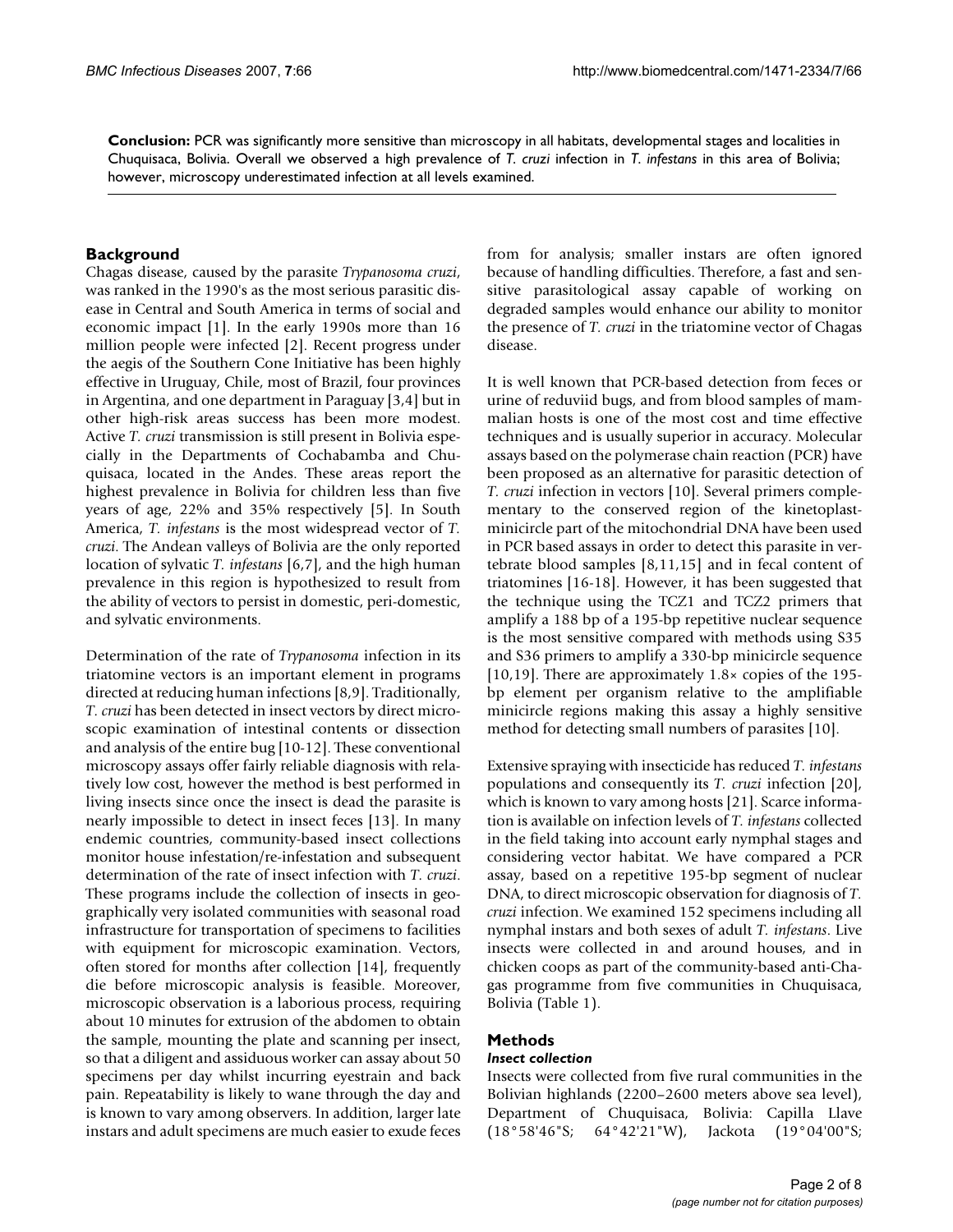**Conclusion:** PCR was significantly more sensitive than microscopy in all habitats, developmental stages and localities in Chuquisaca, Bolivia. Overall we observed a high prevalence of *T. cruzi* infection in *T. infestans* in this area of Bolivia; however, microscopy underestimated infection at all levels examined.

# **Background**

Chagas disease, caused by the parasite *Trypanosoma cruzi*, was ranked in the 1990's as the most serious parasitic disease in Central and South America in terms of social and economic impact [1]. In the early 1990s more than 16 million people were infected [2]. Recent progress under the aegis of the Southern Cone Initiative has been highly effective in Uruguay, Chile, most of Brazil, four provinces in Argentina, and one department in Paraguay [3,4] but in other high-risk areas success has been more modest. Active *T. cruzi* transmission is still present in Bolivia especially in the Departments of Cochabamba and Chuquisaca, located in the Andes. These areas report the highest prevalence in Bolivia for children less than five years of age, 22% and 35% respectively [5]. In South America, *T. infestans* is the most widespread vector of *T. cruzi*. The Andean valleys of Bolivia are the only reported location of sylvatic *T. infestans* [6,7], and the high human prevalence in this region is hypothesized to result from the ability of vectors to persist in domestic, peri-domestic, and sylvatic environments.

Determination of the rate of *Trypanosoma* infection in its triatomine vectors is an important element in programs directed at reducing human infections [8,9]. Traditionally, *T. cruzi* has been detected in insect vectors by direct microscopic examination of intestinal contents or dissection and analysis of the entire bug [10-12]. These conventional microscopy assays offer fairly reliable diagnosis with relatively low cost, however the method is best performed in living insects since once the insect is dead the parasite is nearly impossible to detect in insect feces [[13\]](#page-6-0). In many endemic countries, community-based insect collections monitor house infestation/re-infestation and subsequent determination of the rate of insect infection with *T. cruzi*. These programs include the collection of insects in geographically very isolated communities with seasonal road infrastructure for transportation of specimens to facilities with equipment for microscopic examination. Vectors, often stored for months after collection [14], frequently die before microscopic analysis is feasible. Moreover, microscopic observation is a laborious process, requiring about 10 minutes for extrusion of the abdomen to obtain the sample, mounting the plate and scanning per insect, so that a diligent and assiduous worker can assay about 50 specimens per day whilst incurring eyestrain and back pain. Repeatability is likely to wane through the day and is known to vary among observers. In addition, larger late instars and adult specimens are much easier to exude feces from for analysis; smaller instars are often ignored because of handling difficulties. Therefore, a fast and sensitive parasitological assay capable of working on degraded samples would enhance our ability to monitor the presence of *T. cruzi* in the triatomine vector of Chagas disease.

It is well known that PCR-based detection from feces or urine of reduviid bugs, and from blood samples of mammalian hosts is one of the most cost and time effective techniques and is usually superior in accuracy. Molecular assays based on the polymerase chain reaction (PCR) have been proposed as an alternative for parasitic detection of *T. cruzi* infection in vectors [10]. Several primers complementary to the conserved region of the kinetoplastminicircle part of the mitochondrial DNA have been used in PCR based assays in order to detect this parasite in vertebrate blood samples [8,11,[15\]](#page-6-1) and in fecal content of triatomines [16-18]. However, it has been suggested that the technique using the TCZ1 and TCZ2 primers that amplify a 188 bp of a 195-bp repetitive nuclear sequence is the most sensitive compared with methods using S35 and S36 primers to amplify a 330-bp minicircle sequence [10,19]. There are approximately 1.8× copies of the 195bp element per organism relative to the amplifiable minicircle regions making this assay a highly sensitive method for detecting small numbers of parasites [10].

Extensive spraying with insecticide has reduced *T. infestans* populations and consequently its *T. cruzi* infection [\[20](#page-6-2)], which is known to vary among hosts [21]. Scarce information is available on infection levels of *T. infestans* collected in the field taking into account early nymphal stages and considering vector habitat. We have compared a PCR assay, based on a repetitive 195-bp segment of nuclear DNA, to direct microscopic observation for diagnosis of *T. cruzi* infection. We examined 152 specimens including all nymphal instars and both sexes of adult *T. infestans*. Live insects were collected in and around houses, and in chicken coops as part of the community-based anti-Chagas programme from five communities in Chuquisaca, Bolivia (Table 1).

### **Methods**

### *Insect collection*

Insects were collected from five rural communities in the Bolivian highlands (2200–2600 meters above sea level), Department of Chuquisaca, Bolivia: Capilla Llave (18°58'46"S; 64°42'21"W), Jackota (19°04'00"S;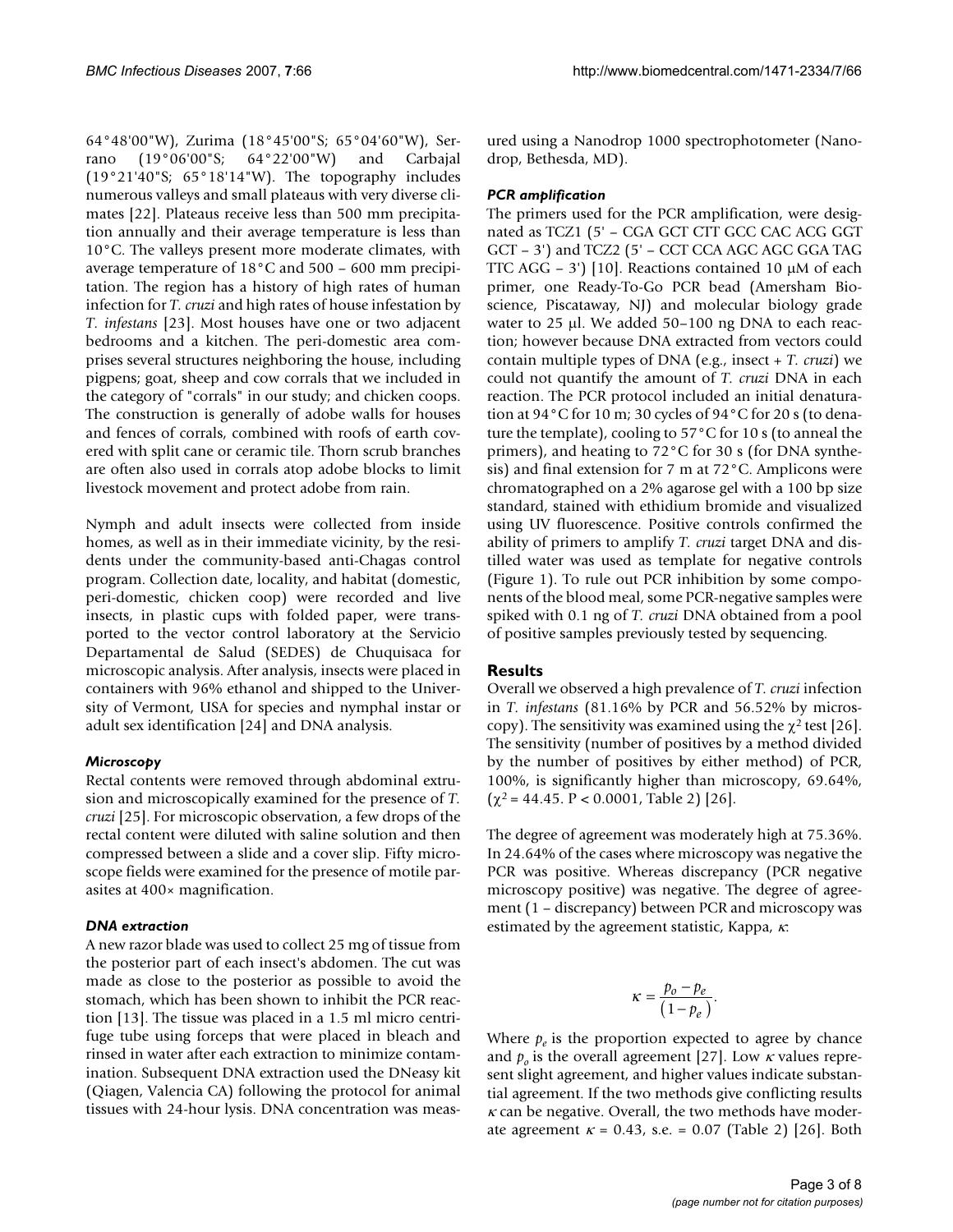64°48'00"W), Zurima (18°45'00"S; 65°04'60"W), Serrano (19°06'00"S; 64°22'00"W) and Carbajal (19°21'40"S; 65°18'14"W). The topography includes numerous valleys and small plateaus with very diverse climates [22]. Plateaus receive less than 500 mm precipitation annually and their average temperature is less than 10°C. The valleys present more moderate climates, with average temperature of 18°C and 500 – 600 mm precipitation. The region has a history of high rates of human infection for *T. cruzi* and high rates of house infestation by *T. infestans* [23]. Most houses have one or two adjacent bedrooms and a kitchen. The peri-domestic area comprises several structures neighboring the house, including pigpens; goat, sheep and cow corrals that we included in the category of "corrals" in our study; and chicken coops. The construction is generally of adobe walls for houses and fences of corrals, combined with roofs of earth covered with split cane or ceramic tile. Thorn scrub branches are often also used in corrals atop adobe blocks to limit livestock movement and protect adobe from rain.

Nymph and adult insects were collected from inside homes, as well as in their immediate vicinity, by the residents under the community-based anti-Chagas control program. Collection date, locality, and habitat (domestic, peri-domestic, chicken coop) were recorded and live insects, in plastic cups with folded paper, were transported to the vector control laboratory at the Servicio Departamental de Salud (SEDES) de Chuquisaca for microscopic analysis. After analysis, insects were placed in containers with 96% ethanol and shipped to the University of Vermont, USA for species and nymphal instar or adult sex identification [24] and DNA analysis.

### *Microscopy*

Rectal contents were removed through abdominal extrusion and microscopically examined for the presence of *T. cruzi* [25]. For microscopic observation, a few drops of the rectal content were diluted with saline solution and then compressed between a slide and a cover slip. Fifty microscope fields were examined for the presence of motile parasites at 400× magnification.

### *DNA extraction*

A new razor blade was used to collect 25 mg of tissue from the posterior part of each insect's abdomen. The cut was made as close to the posterior as possible to avoid the stomach, which has been shown to inhibit the PCR reaction [[13\]](#page-6-0). The tissue was placed in a 1.5 ml micro centrifuge tube using forceps that were placed in bleach and rinsed in water after each extraction to minimize contamination. Subsequent DNA extraction used the DNeasy kit (Qiagen, Valencia CA) following the protocol for animal tissues with 24-hour lysis. DNA concentration was measured using a Nanodrop 1000 spectrophotometer (Nanodrop, Bethesda, MD).

## *PCR amplification*

The primers used for the PCR amplification, were designated as TCZ1 (5' – CGA GCT CTT GCC CAC ACG GGT GCT – 3') and TCZ2 (5' – CCT CCA AGC AGC GGA TAG TTC AGG – 3') [10]. Reactions contained 10 μM of each primer, one Ready-To-Go PCR bead (Amersham Bioscience, Piscataway, NJ) and molecular biology grade water to 25 μl. We added 50–100 ng DNA to each reaction; however because DNA extracted from vectors could contain multiple types of DNA (e.g., insect + *T. cruzi*) we could not quantify the amount of *T. cruzi* DNA in each reaction. The PCR protocol included an initial denaturation at 94°C for 10 m; 30 cycles of 94°C for 20 s (to denature the template), cooling to 57°C for 10 s (to anneal the primers), and heating to 72°C for 30 s (for DNA synthesis) and final extension for 7 m at 72°C. Amplicons were chromatographed on a 2% agarose gel with a 100 bp size standard, stained with ethidium bromide and visualized using UV fluorescence. Positive controls confirmed the ability of primers to amplify *T. cruzi* target DNA and distilled water was used as template for negative controls (Figure 1). To rule out PCR inhibition by some components of the blood meal, some PCR-negative samples were spiked with 0.1 ng of *T. cruzi* DNA obtained from a pool of positive samples previously tested by sequencing.

# **Results**

Overall we observed a high prevalence of *T. cruzi* infection in *T. infestans* (81.16% by PCR and 56.52% by microscopy). The sensitivity was examined using the  $\chi^2$  test [26]. The sensitivity (number of positives by a method divided by the number of positives by either method) of PCR, 100%, is significantly higher than microscopy, 69.64%,  $(\chi^2 = 44.45. \text{ P} < 0.0001, \text{ Table 2})$  [26].

The degree of agreement was moderately high at 75.36%. In 24.64% of the cases where microscopy was negative the PCR was positive. Whereas discrepancy (PCR negative microscopy positive) was negative. The degree of agreement (1 – discrepancy) between PCR and microscopy was estimated by the agreement statistic, Kappa,  $\kappa$ :

$$
\kappa = \frac{p_o - p_e}{(1 - p_e)}.
$$

Where  $p_e$  is the proportion expected to agree by chance and  $p<sub>o</sub>$  is the overall agreement [27]. Low  $\kappa$  values represent slight agreement, and higher values indicate substantial agreement. If the two methods give conflicting results  $\kappa$  can be negative. Overall, the two methods have moderate agreement  $\kappa = 0.43$ , s.e. = 0.07 (Table 2) [26]. Both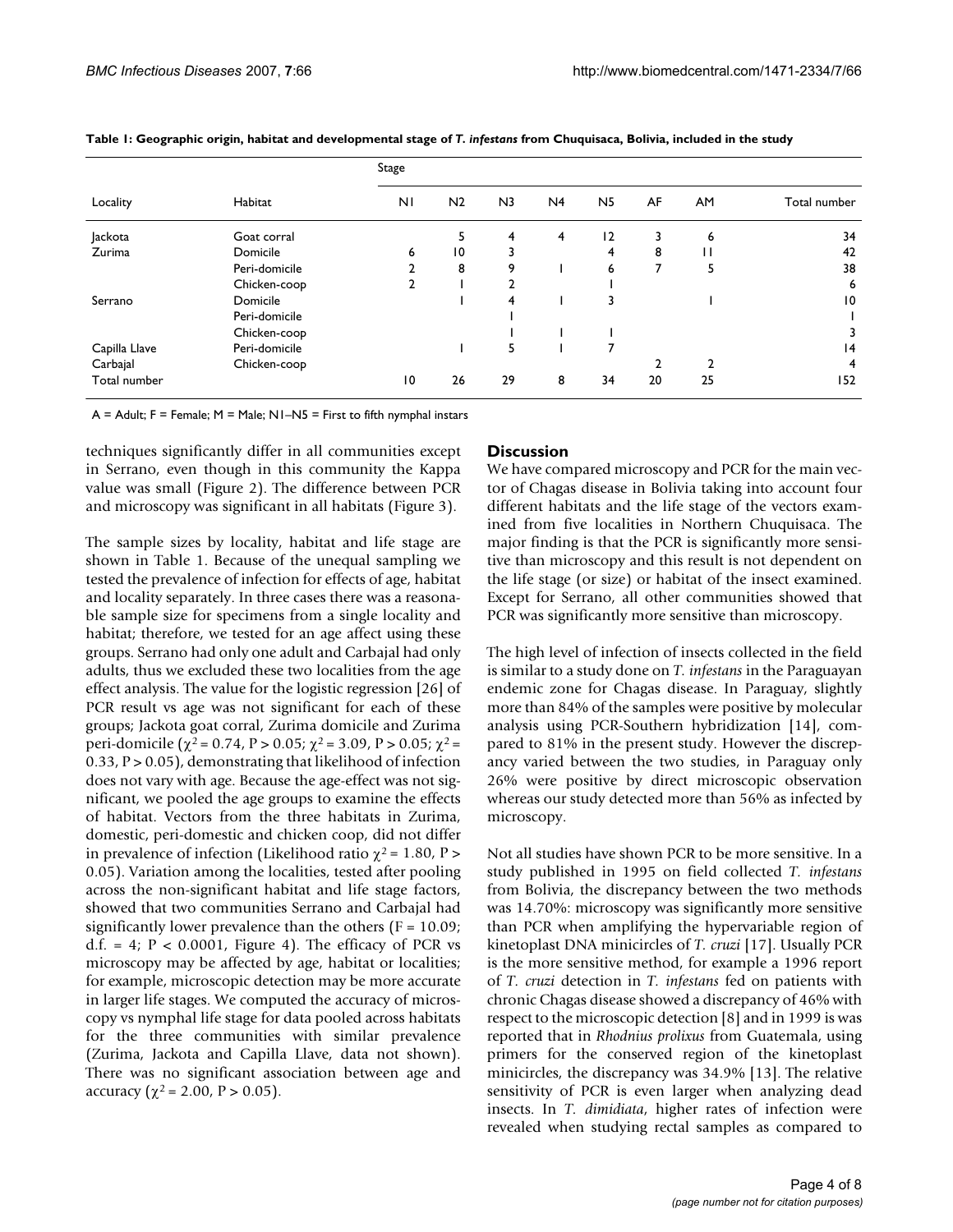|               |               | Stage |                |                |                |                |    |    |                 |  |
|---------------|---------------|-------|----------------|----------------|----------------|----------------|----|----|-----------------|--|
| Locality      | Habitat       | ΝI    | N <sub>2</sub> | N <sub>3</sub> | N <sub>4</sub> | N <sub>5</sub> | AF | AM | Total number    |  |
| lackota       | Goat corral   |       | 5              | 4              | 4              | 12             | 3  | 6  | 34              |  |
| Zurima        | Domicile      | 6     | 10             | 3              |                | 4              | 8  |    | 42              |  |
|               | Peri-domicile |       | 8              | 9              |                | 6              |    | 5  | 38              |  |
|               | Chicken-coop  |       |                | C              |                |                |    |    | 6               |  |
| Serrano       | Domicile      |       |                | 4              |                | 3              |    |    | $\overline{10}$ |  |
|               | Peri-domicile |       |                |                |                |                |    |    |                 |  |
|               | Chicken-coop  |       |                |                |                |                |    |    | 3               |  |
| Capilla Llave | Peri-domicile |       |                | 5              |                | 7              |    |    | 4               |  |
| Carbajal      | Chicken-coop  |       |                |                |                |                | າ  |    | $\overline{4}$  |  |
| Total number  |               | 10    | 26             | 29             | 8              | 34             | 20 | 25 | 152             |  |

**Table 1: Geographic origin, habitat and developmental stage of** *T. infestans* **from Chuquisaca, Bolivia, included in the study**

A = Adult; F = Female; M = Male; N1–N5 = First to fifth nymphal instars

techniques significantly differ in all communities except in Serrano, even though in this community the Kappa value was small (Figure 2). The difference between PCR and microscopy was significant in all habitats (Figure 3).

The sample sizes by locality, habitat and life stage are shown in Table 1. Because of the unequal sampling we tested the prevalence of infection for effects of age, habitat and locality separately. In three cases there was a reasonable sample size for specimens from a single locality and habitat; therefore, we tested for an age affect using these groups. Serrano had only one adult and Carbajal had only adults, thus we excluded these two localities from the age effect analysis. The value for the logistic regression [26] of PCR result vs age was not significant for each of these groups; Jackota goat corral, Zurima domicile and Zurima peri-domicile (χ<sup>2</sup> = 0.74, P > 0.05; χ<sup>2</sup> = 3.09, P > 0.05; χ<sup>2</sup> = 0.33, P > 0.05), demonstrating that likelihood of infection does not vary with age. Because the age-effect was not significant, we pooled the age groups to examine the effects of habitat. Vectors from the three habitats in Zurima, domestic, peri-domestic and chicken coop, did not differ in prevalence of infection (Likelihood ratio  $\chi^2$  = 1.80, P > 0.05). Variation among the localities, tested after pooling across the non-significant habitat and life stage factors, showed that two communities Serrano and Carbajal had significantly lower prevalence than the others ( $F = 10.09$ ; d.f. = 4;  $P < 0.0001$ , Figure 4). The efficacy of PCR vs microscopy may be affected by age, habitat or localities; for example, microscopic detection may be more accurate in larger life stages. We computed the accuracy of microscopy vs nymphal life stage for data pooled across habitats for the three communities with similar prevalence (Zurima, Jackota and Capilla Llave, data not shown). There was no significant association between age and accuracy ( $χ² = 2.00, P > 0.05$ ).

#### **Discussion**

We have compared microscopy and PCR for the main vector of Chagas disease in Bolivia taking into account four different habitats and the life stage of the vectors examined from five localities in Northern Chuquisaca. The major finding is that the PCR is significantly more sensitive than microscopy and this result is not dependent on the life stage (or size) or habitat of the insect examined. Except for Serrano, all other communities showed that PCR was significantly more sensitive than microscopy.

The high level of infection of insects collected in the field is similar to a study done on *T. infestans* in the Paraguayan endemic zone for Chagas disease. In Paraguay, slightly more than 84% of the samples were positive by molecular analysis using PCR-Southern hybridization [14], compared to 81% in the present study. However the discrepancy varied between the two studies, in Paraguay only 26% were positive by direct microscopic observation whereas our study detected more than 56% as infected by microscopy.

Not all studies have shown PCR to be more sensitive. In a study published in 1995 on field collected *T. infestans* from Bolivia, the discrepancy between the two methods was 14.70%: microscopy was significantly more sensitive than PCR when amplifying the hypervariable region of kinetoplast DNA minicircles of *T. cruzi* [\[17\]](#page-6-3). Usually PCR is the more sensitive method, for example a 1996 report of *T. cruzi* detection in *T. infestans* fed on patients with chronic Chagas disease showed a discrepancy of 46% with respect to the microscopic detection [8] and in 1999 is was reported that in *Rhodnius prolixus* from Guatemala, using primers for the conserved region of the kinetoplast minicircles, the discrepancy was 34.9% [\[13](#page-6-0)]. The relative sensitivity of PCR is even larger when analyzing dead insects. In *T. dimidiata*, higher rates of infection were revealed when studying rectal samples as compared to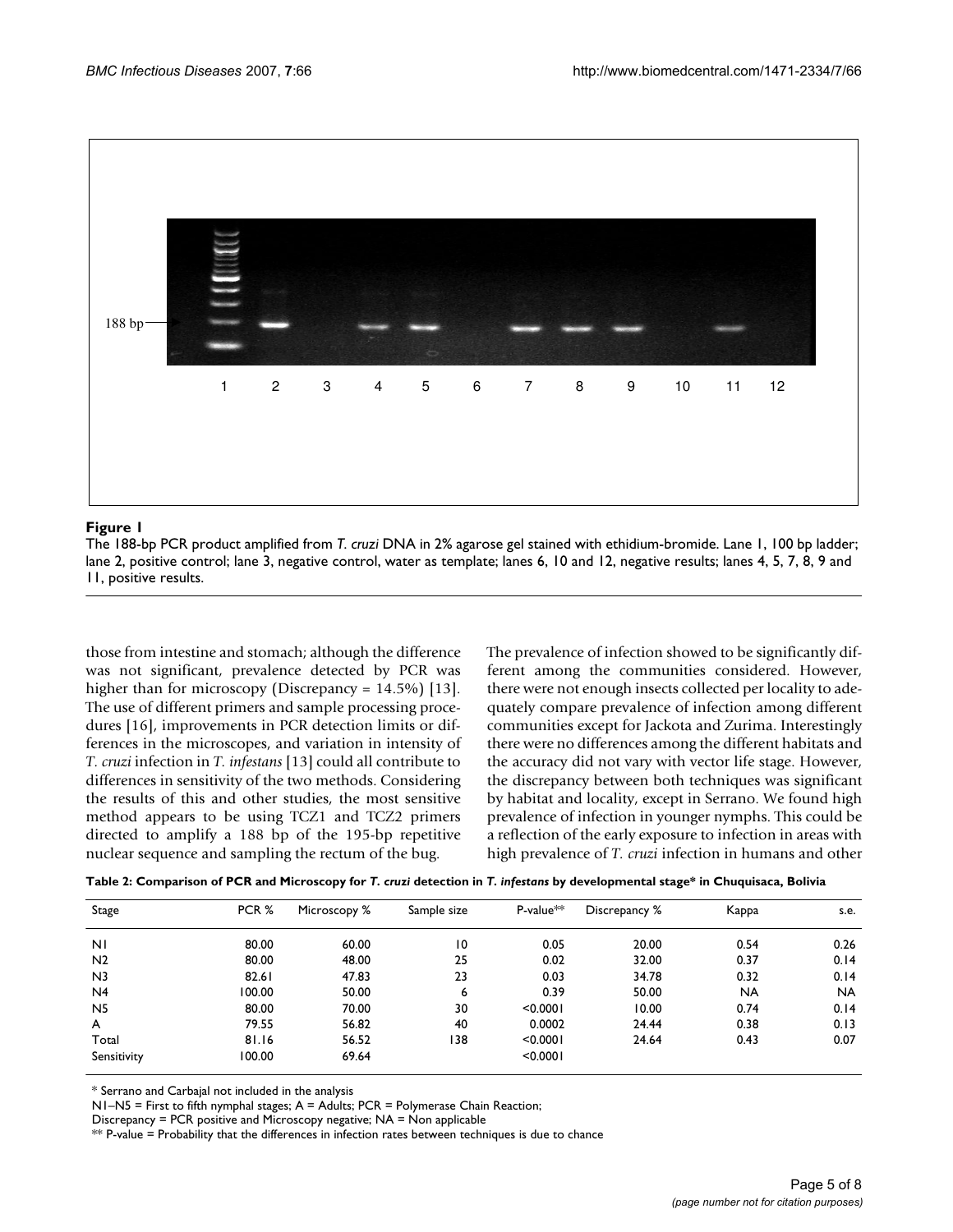

### The 188-bp PCR product amplified from **Figure 1** *T. cruzi* DNA in 2% agarose gel stained with ethidium-bromide

The 188-bp PCR product amplified from *T. cruzi* DNA in 2% agarose gel stained with ethidium-bromide. Lane 1, 100 bp ladder; lane 2, positive control; lane 3, negative control, water as template; lanes 6, 10 and 12, negative results; lanes 4, 5, 7, 8, 9 and 11, positive results.

those from intestine and stomach; although the difference was not significant, prevalence detected by PCR was higher than for microscopy (Discrepancy = 14.5%) [\[13](#page-6-0)]. The use of different primers and sample processing procedures [16], improvements in PCR detection limits or differences in the microscopes, and variation in intensity of *T. cruzi* infection in *T. infestans* [\[13\]](#page-6-0) could all contribute to differences in sensitivity of the two methods. Considering the results of this and other studies, the most sensitive method appears to be using TCZ1 and TCZ2 primers directed to amplify a 188 bp of the 195-bp repetitive nuclear sequence and sampling the rectum of the bug.

The prevalence of infection showed to be significantly different among the communities considered. However, there were not enough insects collected per locality to adequately compare prevalence of infection among different communities except for Jackota and Zurima. Interestingly there were no differences among the different habitats and the accuracy did not vary with vector life stage. However, the discrepancy between both techniques was significant by habitat and locality, except in Serrano. We found high prevalence of infection in younger nymphs. This could be a reflection of the early exposure to infection in areas with high prevalence of *T. cruzi* infection in humans and other

| Table 2: Comparison of PCR and Microscopy for T. cruzi detection in T. infestans by developmental stage* in Chuquisaca, Bolivia |  |  |  |
|---------------------------------------------------------------------------------------------------------------------------------|--|--|--|
|                                                                                                                                 |  |  |  |

| Stage          | PCR %  | Microscopy % | Sample size     | $P-value**$ | Discrepancy % | Kappa     | s.e.      |
|----------------|--------|--------------|-----------------|-------------|---------------|-----------|-----------|
| N <sub>1</sub> | 80.00  | 60.00        | $\overline{10}$ | 0.05        | 20.00         | 0.54      | 0.26      |
| N <sub>2</sub> | 80.00  | 48.00        | 25              | 0.02        | 32.00         | 0.37      | 0.14      |
| N <sub>3</sub> | 82.61  | 47.83        | 23              | 0.03        | 34.78         | 0.32      | 0.14      |
| N <sub>4</sub> | 100.00 | 50.00        | 6               | 0.39        | 50.00         | <b>NA</b> | <b>NA</b> |
| N <sub>5</sub> | 80.00  | 70.00        | 30              | < 0.0001    | 10.00         | 0.74      | 0.14      |
| A              | 79.55  | 56.82        | 40              | 0.0002      | 24.44         | 0.38      | 0.13      |
| Total          | 81.16  | 56.52        | 138             | < 0.0001    | 24.64         | 0.43      | 0.07      |
| Sensitivity    | 100.00 | 69.64        |                 | < 0.0001    |               |           |           |

\* Serrano and Carbajal not included in the analysis

N1–N5 = First to fifth nymphal stages; A = Adults; PCR = Polymerase Chain Reaction;

Discrepancy = PCR positive and Microscopy negative; NA = Non applicable

\*\* P-value = Probability that the differences in infection rates between techniques is due to chance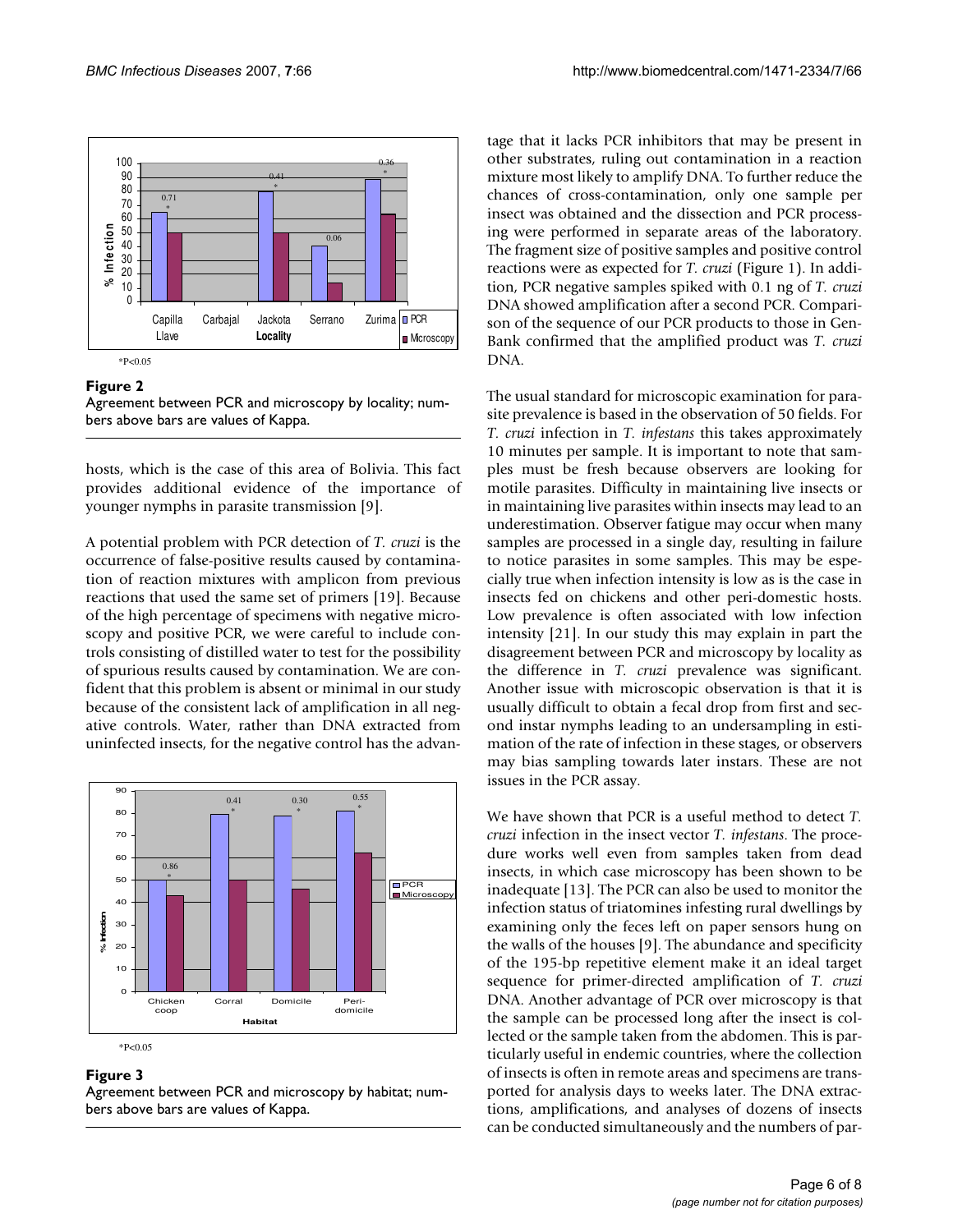

### Figure 2

Agreement between PCR and microscopy by locality; numbers above bars are values of Kappa.

hosts, which is the case of this area of Bolivia. This fact provides additional evidence of the importance of younger nymphs in parasite transmission [9].

A potential problem with PCR detection of *T. cruzi* is the occurrence of false-positive results caused by contamination of reaction mixtures with amplicon from previous reactions that used the same set of primers [19]. Because of the high percentage of specimens with negative microscopy and positive PCR, we were careful to include controls consisting of distilled water to test for the possibility of spurious results caused by contamination. We are confident that this problem is absent or minimal in our study because of the consistent lack of amplification in all negative controls. Water, rather than DNA extracted from uninfected insects, for the negative control has the advan-



\*P<0.05

#### Figure 3

Agreement between PCR and microscopy by habitat; numbers above bars are values of Kappa.

tage that it lacks PCR inhibitors that may be present in other substrates, ruling out contamination in a reaction mixture most likely to amplify DNA. To further reduce the chances of cross-contamination, only one sample per insect was obtained and the dissection and PCR processing were performed in separate areas of the laboratory. The fragment size of positive samples and positive control reactions were as expected for *T. cruzi* (Figure 1). In addition, PCR negative samples spiked with 0.1 ng of *T. cruzi* DNA showed amplification after a second PCR. Comparison of the sequence of our PCR products to those in Gen-Bank confirmed that the amplified product was *T. cruzi* DNA.

The usual standard for microscopic examination for parasite prevalence is based in the observation of 50 fields. For *T. cruzi* infection in *T. infestans* this takes approximately 10 minutes per sample. It is important to note that samples must be fresh because observers are looking for motile parasites. Difficulty in maintaining live insects or in maintaining live parasites within insects may lead to an underestimation. Observer fatigue may occur when many samples are processed in a single day, resulting in failure to notice parasites in some samples. This may be especially true when infection intensity is low as is the case in insects fed on chickens and other peri-domestic hosts. Low prevalence is often associated with low infection intensity [21]. In our study this may explain in part the disagreement between PCR and microscopy by locality as the difference in *T. cruzi* prevalence was significant. Another issue with microscopic observation is that it is usually difficult to obtain a fecal drop from first and second instar nymphs leading to an undersampling in estimation of the rate of infection in these stages, or observers may bias sampling towards later instars. These are not issues in the PCR assay.

We have shown that PCR is a useful method to detect *T. cruzi* infection in the insect vector *T. infestans*. The procedure works well even from samples taken from dead insects, in which case microscopy has been shown to be inadequate [[13](#page-6-0)]. The PCR can also be used to monitor the infection status of triatomines infesting rural dwellings by examining only the feces left on paper sensors hung on the walls of the houses [9]. The abundance and specificity of the 195-bp repetitive element make it an ideal target sequence for primer-directed amplification of *T. cruzi* DNA. Another advantage of PCR over microscopy is that the sample can be processed long after the insect is collected or the sample taken from the abdomen. This is particularly useful in endemic countries, where the collection of insects is often in remote areas and specimens are transported for analysis days to weeks later. The DNA extractions, amplifications, and analyses of dozens of insects can be conducted simultaneously and the numbers of par-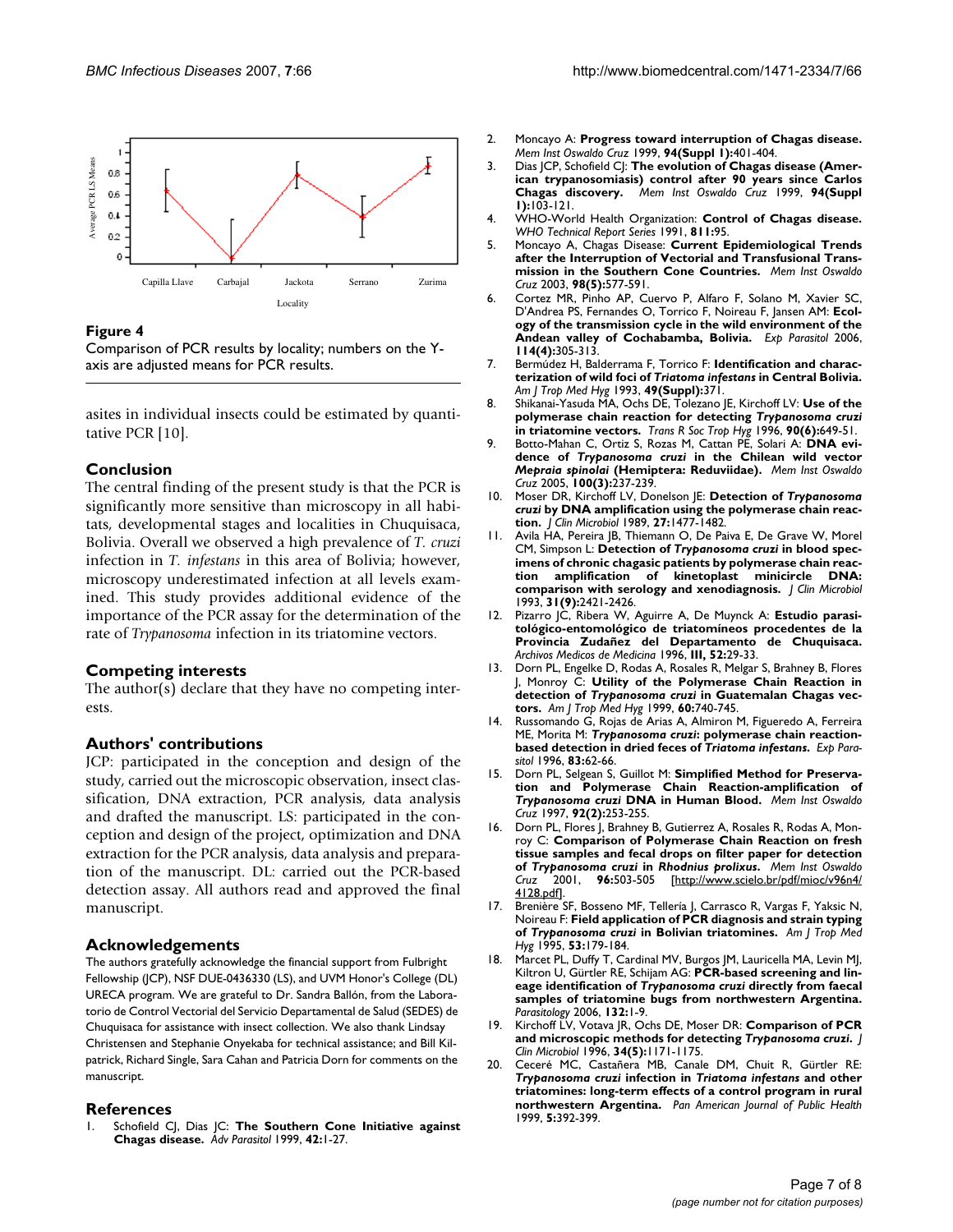

#### Figure 4

Comparison of PCR results by locality; numbers on the Yaxis are adjusted means for PCR results.

asites in individual insects could be estimated by quantitative PCR [10].

### **Conclusion**

The central finding of the present study is that the PCR is significantly more sensitive than microscopy in all habitats, developmental stages and localities in Chuquisaca, Bolivia. Overall we observed a high prevalence of *T. cruzi* infection in *T. infestans* in this area of Bolivia; however, microscopy underestimated infection at all levels examined. This study provides additional evidence of the importance of the PCR assay for the determination of the rate of *Trypanosoma* infection in its triatomine vectors.

### **Competing interests**

The author(s) declare that they have no competing interests.

### **Authors' contributions**

JCP: participated in the conception and design of the study, carried out the microscopic observation, insect classification, DNA extraction, PCR analysis, data analysis and drafted the manuscript. LS: participated in the conception and design of the project, optimization and DNA extraction for the PCR analysis, data analysis and preparation of the manuscript. DL: carried out the PCR-based detection assay. All authors read and approved the final manuscript.

### **Acknowledgements**

The authors gratefully acknowledge the financial support from Fulbright Fellowship (JCP), NSF DUE-0436330 (LS), and UVM Honor's College (DL) URECA program. We are grateful to Dr. Sandra Ballón, from the Laboratorio de Control Vectorial del Servicio Departamental de Salud (SEDES) de Chuquisaca for assistance with insect collection. We also thank Lindsay Christensen and Stephanie Onyekaba for technical assistance; and Bill Kilpatrick, Richard Single, Sara Cahan and Patricia Dorn for comments on the manuscript.

### **References**

1. Schofield CJ, Dias JC: **[The Southern Cone Initiative against](http://www.ncbi.nlm.nih.gov/entrez/query.fcgi?cmd=Retrieve&db=PubMed&dopt=Abstract&list_uids=10050271) [Chagas disease.](http://www.ncbi.nlm.nih.gov/entrez/query.fcgi?cmd=Retrieve&db=PubMed&dopt=Abstract&list_uids=10050271)** *Adv Parasitol* 1999, **42:**1-27.

- 2. Moncayo A: **[Progress toward interruption of Chagas disease.](http://www.ncbi.nlm.nih.gov/entrez/query.fcgi?cmd=Retrieve&db=PubMed&dopt=Abstract&list_uids=10677765)** *Mem Inst Oswaldo Cruz* 1999, **94(Suppl 1):**401-404.
- 3. Dias JCP, Schofield CJ: **[The evolution of Chagas disease \(Amer](http://www.ncbi.nlm.nih.gov/entrez/query.fcgi?cmd=Retrieve&db=PubMed&dopt=Abstract&list_uids=10677697)[ican trypanosomiasis\) control after 90 years since Carlos](http://www.ncbi.nlm.nih.gov/entrez/query.fcgi?cmd=Retrieve&db=PubMed&dopt=Abstract&list_uids=10677697) [Chagas discovery.](http://www.ncbi.nlm.nih.gov/entrez/query.fcgi?cmd=Retrieve&db=PubMed&dopt=Abstract&list_uids=10677697)** *Mem Inst Oswaldo Cruz* 1999, **94(Suppl 1):**103-121.
- 4. WHO-World Health Organization: **Control of Chagas disease.** *WHO Technical Report Series* 1991, **811:**95.
- 5. Moncayo A, Chagas Disease: **[Current Epidemiological Trends](http://www.ncbi.nlm.nih.gov/entrez/query.fcgi?cmd=Retrieve&db=PubMed&dopt=Abstract&list_uids=12973523) [after the Interruption of Vectorial and Transfusional Trans](http://www.ncbi.nlm.nih.gov/entrez/query.fcgi?cmd=Retrieve&db=PubMed&dopt=Abstract&list_uids=12973523)[mission in the Southern Cone Countries.](http://www.ncbi.nlm.nih.gov/entrez/query.fcgi?cmd=Retrieve&db=PubMed&dopt=Abstract&list_uids=12973523)** *Mem Inst Oswaldo Cruz* 2003, **98(5):**577-591.
- 6. Cortez MR, Pinho AP, Cuervo P, Alfaro F, Solano M, Xavier SC, D'Andrea PS, Fernandes O, Torrico F, Noireau F, Jansen AM: **[Ecol](http://www.ncbi.nlm.nih.gov/entrez/query.fcgi?cmd=Retrieve&db=PubMed&dopt=Abstract&list_uids=16797540)[ogy of the transmission cycle in the wild environment of the](http://www.ncbi.nlm.nih.gov/entrez/query.fcgi?cmd=Retrieve&db=PubMed&dopt=Abstract&list_uids=16797540) [Andean valley of Cochabamba, Bolivia.](http://www.ncbi.nlm.nih.gov/entrez/query.fcgi?cmd=Retrieve&db=PubMed&dopt=Abstract&list_uids=16797540)** *Exp Parasitol* 2006, **114(4):**305-313.
- 7. Bermúdez H, Balderrama F, Torrico F: **Identification and characterization of wild foci of** *Triatoma infestans* **in Central Bolivia.** *Am J Trop Med Hyg* 1993, **49(Suppl):**371.
- 8. Shikanai-Yasuda MA, Ochs DE, Tolezano JE, Kirchoff LV: **Use of the polymerase chain reaction for detecting** *Trypanosoma cruzi* **in triatomine vectors.** *Trans R Soc Trop Hyg* 1996, **90(6):**649-51.
- 9. Botto-Mahan C, Ortiz S, Rozas M, Cattan PE, Solari A: **DNA evidence of** *Trypanosoma cruzi* **in the Chilean wild vector** *Mepraia spinolai* **[\(Hemiptera: Reduviidae\).](http://www.ncbi.nlm.nih.gov/entrez/query.fcgi?cmd=Retrieve&db=PubMed&dopt=Abstract&list_uids=16113860)** *Mem Inst Oswaldo Cruz* 2005, **100(3):**237-239.
- 10. Moser DR, Kirchoff LV, Donelson JE: **Detection of** *Trypanosoma cruzi* **[by DNA amplification using the polymerase chain reac](http://www.ncbi.nlm.nih.gov/entrez/query.fcgi?cmd=Retrieve&db=PubMed&dopt=Abstract&list_uids=2504769)[tion.](http://www.ncbi.nlm.nih.gov/entrez/query.fcgi?cmd=Retrieve&db=PubMed&dopt=Abstract&list_uids=2504769)** *J Clin Microbiol* 1989, **27:**1477-1482.
- Avila HA, Pereira JB, Thiemann O, De Paiva E, De Grave W, Morel CM, Simpson L: **Detection of** *Trypanosoma cruzi* **[in blood spec](http://www.ncbi.nlm.nih.gov/entrez/query.fcgi?cmd=Retrieve&db=PubMed&dopt=Abstract&list_uids=8408566)[imens of chronic chagasic patients by polymerase chain reac](http://www.ncbi.nlm.nih.gov/entrez/query.fcgi?cmd=Retrieve&db=PubMed&dopt=Abstract&list_uids=8408566)tion amplification of kinetoplast minicircle DNA: [comparison with serology and xenodiagnosis.](http://www.ncbi.nlm.nih.gov/entrez/query.fcgi?cmd=Retrieve&db=PubMed&dopt=Abstract&list_uids=8408566)** *J Clin Microbiol* 1993, **31(9):**2421-2426.
- 12. Pizarro JC, Ribera W, Aguirre A, De Muynck A: **Estudio parasitológico-entomológico de triatomíneos procedentes de la Provincia Zudañez del Departamento de Chuquisaca.** *Archivos Medicos de Medicina* 1996, **III, 52:**29-33.
- <span id="page-6-0"></span>13. Dorn PL, Engelke D, Rodas A, Rosales R, Melgar S, Brahney B, Flores J, Monroy C: **Utility of the Polymerase Chain Reaction in detection of** *Trypanosoma cruzi* **[in Guatemalan Chagas vec](http://www.ncbi.nlm.nih.gov/entrez/query.fcgi?cmd=Retrieve&db=PubMed&dopt=Abstract&list_uids=10344645)[tors.](http://www.ncbi.nlm.nih.gov/entrez/query.fcgi?cmd=Retrieve&db=PubMed&dopt=Abstract&list_uids=10344645)** *Am J Trop Med Hyg* 1999, **60:**740-745.
- 14. Russomando G, Rojas de Arias A, Almiron M, Figueredo A, Ferreira ME, Morita M: *Trypanosoma cruzi***: polymerase chain reactionbased detection in dried feces of** *Triatoma infestans***[.](http://www.ncbi.nlm.nih.gov/entrez/query.fcgi?cmd=Retrieve&db=PubMed&dopt=Abstract&list_uids=8654552)** *Exp Parasitol* 1996, **83:**62-66.
- <span id="page-6-1"></span>15. Dorn PL, Selgean S, Guillot M: **Simplified Method for Preservation and Polymerase Chain Reaction-amplification of** *Trypanosoma cruzi* **[DNA in Human Blood.](http://www.ncbi.nlm.nih.gov/entrez/query.fcgi?cmd=Retrieve&db=PubMed&dopt=Abstract&list_uids=9332587)** *Mem Inst Oswaldo Cruz* 1997, **92(2):**253-255.
- 16. Dorn PL, Flores J, Brahney B, Gutierrez A, Rosales R, Rodas A, Monroy C: **Comparison of Polymerase Chain Reaction on fresh tissue samples and fecal drops on filter paper for detection of** *Trypanosoma cruzi* **in** *Rhodnius prolixus***[.](http://www.ncbi.nlm.nih.gov/entrez/query.fcgi?cmd=Retrieve&db=PubMed&dopt=Abstract&list_uids=11391422)** *Mem Inst Oswaldo Cruz* 2001, **96:**503-505 [[http://www.scielo.br/pdf/mioc/v96n4/](http://www.scielo.br/pdf/mioc/v96n4/4128.pdf) [4128.pdf\]](http://www.scielo.br/pdf/mioc/v96n4/4128.pdf).
- <span id="page-6-3"></span>17. Brenière SF, Bosseno MF, Tellería J, Carrasco R, Vargas F, Yaksic N, Noireau F: **Field application of PCR diagnosis and strain typing of** *Trypanosoma cruzi* **[in Bolivian triatomines.](http://www.ncbi.nlm.nih.gov/entrez/query.fcgi?cmd=Retrieve&db=PubMed&dopt=Abstract&list_uids=7677221)** *Am J Trop Med Hyg* 1995, **53:**179-184.
- Marcet PL, Duffy T, Cardinal MV, Burgos JM, Lauricella MA, Levin MJ, Kiltron U, Gürtler RE, Schijam AG: **PCR-based screening and lineage identification of** *Trypanosoma cruzi* **[directly from faecal](http://www.ncbi.nlm.nih.gov/entrez/query.fcgi?cmd=Retrieve&db=PubMed&dopt=Abstract&list_uids=16393348) [samples of triatomine bugs from northwestern Argentina.](http://www.ncbi.nlm.nih.gov/entrez/query.fcgi?cmd=Retrieve&db=PubMed&dopt=Abstract&list_uids=16393348)** *Parasitology* 2006, **132:**1-9.
- 19. Kirchoff LV, Votava JR, Ochs DE, Moser DR: **Comparison of PCR and microscopic methods for detecting** *Trypanosoma cruzi***[.](http://www.ncbi.nlm.nih.gov/entrez/query.fcgi?cmd=Retrieve&db=PubMed&dopt=Abstract&list_uids=8727897)** *J Clin Microbiol* 1996, **34(5):**1171-1175.
- <span id="page-6-2"></span>20. Ceceré MC, Castañera MB, Canale DM, Chuit R, Gürtler RE: *Trypanosoma cruzi* **infection in** *Triatoma infestans* **[and other](http://www.ncbi.nlm.nih.gov/entrez/query.fcgi?cmd=Retrieve&db=PubMed&dopt=Abstract&list_uids=10446505) [triatomines: long-term effects of a control program in rural](http://www.ncbi.nlm.nih.gov/entrez/query.fcgi?cmd=Retrieve&db=PubMed&dopt=Abstract&list_uids=10446505) [northwestern Argentina.](http://www.ncbi.nlm.nih.gov/entrez/query.fcgi?cmd=Retrieve&db=PubMed&dopt=Abstract&list_uids=10446505)** *Pan American Journal of Public Health* 1999, **5:**392-399.